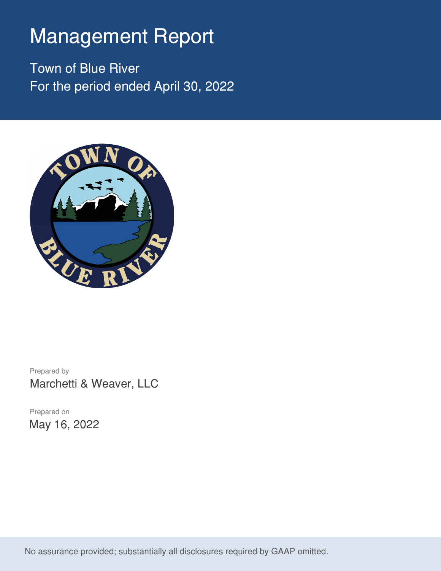# Management Report

Town of Blue River For the period ended April 30, 2022



Prepared by Marchetti & Weaver, LLC

Prepared on May 16, 2022

No assurance provided; substantially all disclosures required by GAAP omitted.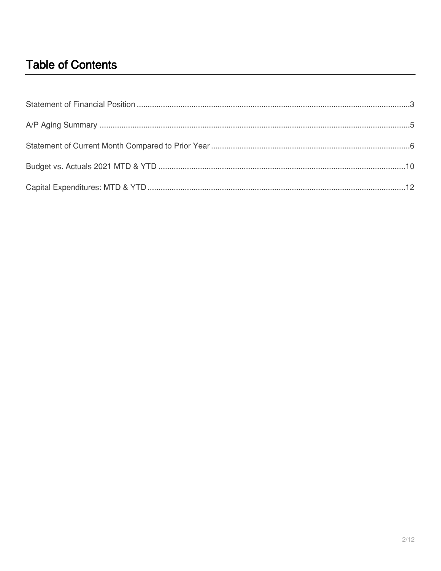## **Table of Contents**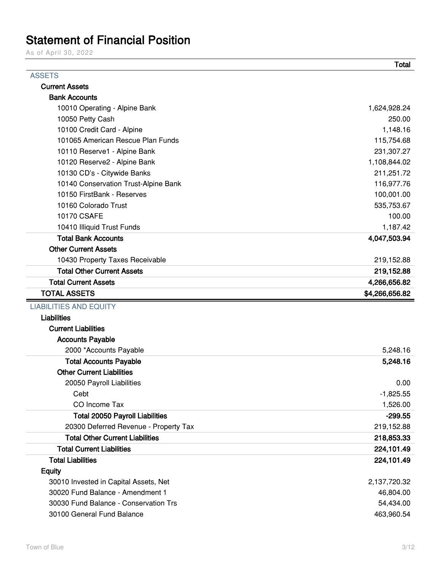### Statement of Financial Position

As of April 30, 2022

|                                        | <b>Total</b>   |
|----------------------------------------|----------------|
| <b>ASSETS</b>                          |                |
| <b>Current Assets</b>                  |                |
| <b>Bank Accounts</b>                   |                |
| 10010 Operating - Alpine Bank          | 1,624,928.24   |
| 10050 Petty Cash                       | 250.00         |
| 10100 Credit Card - Alpine             | 1,148.16       |
| 101065 American Rescue Plan Funds      | 115,754.68     |
| 10110 Reserve1 - Alpine Bank           | 231,307.27     |
| 10120 Reserve2 - Alpine Bank           | 1,108,844.02   |
| 10130 CD's - Citywide Banks            | 211,251.72     |
| 10140 Conservation Trust-Alpine Bank   | 116,977.76     |
| 10150 FirstBank - Reserves             | 100,001.00     |
| 10160 Colorado Trust                   | 535,753.67     |
| 10170 CSAFE                            | 100.00         |
| 10410 Illiquid Trust Funds             | 1,187.42       |
| <b>Total Bank Accounts</b>             | 4,047,503.94   |
| <b>Other Current Assets</b>            |                |
| 10430 Property Taxes Receivable        | 219,152.88     |
| <b>Total Other Current Assets</b>      | 219,152.88     |
| <b>Total Current Assets</b>            | 4,266,656.82   |
| <b>TOTAL ASSETS</b>                    | \$4,266,656.82 |
| <b>LIABILITIES AND EQUITY</b>          |                |
| <b>Liabilities</b>                     |                |
| <b>Current Liabilities</b>             |                |
| <b>Accounts Payable</b>                |                |
| 2000 *Accounts Payable                 | 5,248.16       |
| <b>Total Accounts Payable</b>          | 5,248.16       |
| <b>Other Current Liabilities</b>       |                |
| 20050 Payroll Liabilities              | 0.00           |
| Cebt                                   | $-1,825.55$    |
| CO Income Tax                          | 1,526.00       |
| <b>Total 20050 Payroll Liabilities</b> | $-299.55$      |
| 20300 Deferred Revenue - Property Tax  | 219,152.88     |
| <b>Total Other Current Liabilities</b> | 218,853.33     |
| <b>Total Current Liabilities</b>       | 224,101.49     |
| <b>Total Liabilities</b>               | 224,101.49     |
| <b>Equity</b>                          |                |
| 30010 Invested in Capital Assets, Net  | 2,137,720.32   |
| 30020 Fund Balance - Amendment 1       | 46,804.00      |
| 30030 Fund Balance - Conservation Trs  | 54,434.00      |
| 30100 General Fund Balance             | 463,960.54     |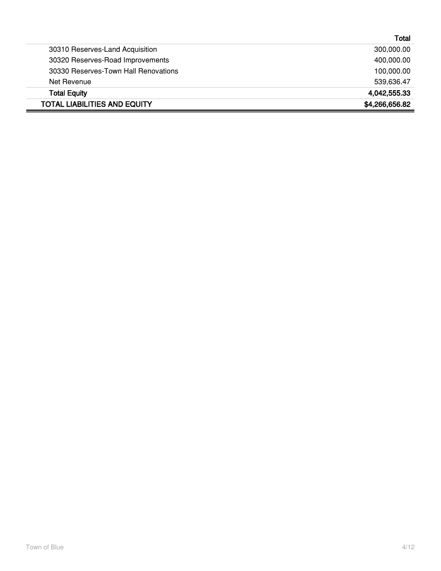|                                      | Total          |
|--------------------------------------|----------------|
| 30310 Reserves-Land Acquisition      | 300,000.00     |
| 30320 Reserves-Road Improvements     | 400,000.00     |
| 30330 Reserves-Town Hall Renovations | 100,000.00     |
| Net Revenue                          | 539,636.47     |
| <b>Total Equity</b>                  | 4,042,555.33   |
| <b>TOTAL LIABILITIES AND EQUITY</b>  | \$4,266,656.82 |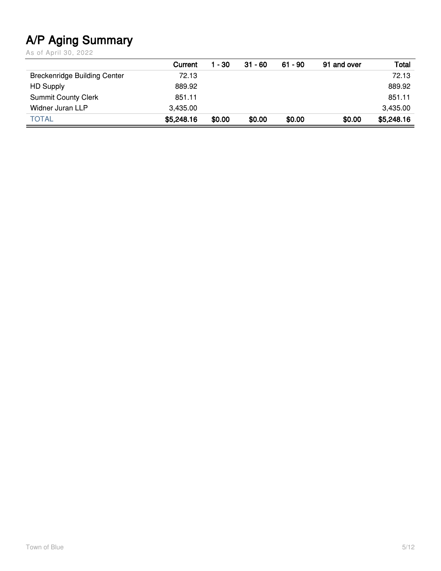# **A/P Aging Summary**

As of April 30, 2022

|                                     | Current    | - 30   | $31 - 60$ | 61 - 90 | 91 and over | Total      |
|-------------------------------------|------------|--------|-----------|---------|-------------|------------|
| <b>Breckenridge Building Center</b> | 72.13      |        |           |         |             | 72.13      |
| <b>HD Supply</b>                    | 889.92     |        |           |         |             | 889.92     |
| <b>Summit County Clerk</b>          | 851.11     |        |           |         |             | 851.11     |
| <b>Widner Juran LLP</b>             | 3,435.00   |        |           |         |             | 3,435.00   |
| <b>TOTAL</b>                        | \$5,248.16 | \$0.00 | \$0.00    | \$0.00  | \$0.00      | \$5,248.16 |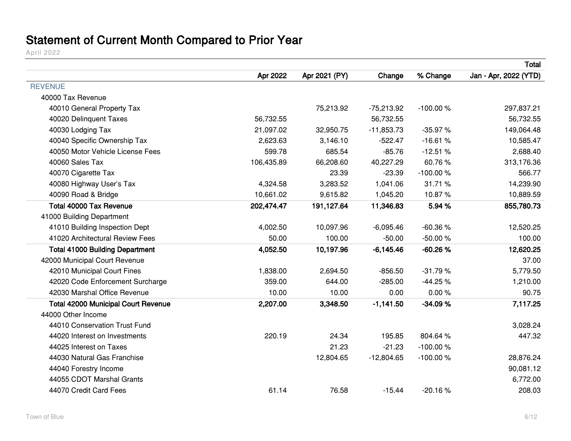# **Statement of Current Month Compared to Prior Year**

April 2022

|                                            |            |               |              |            | Total                 |
|--------------------------------------------|------------|---------------|--------------|------------|-----------------------|
|                                            | Apr 2022   | Apr 2021 (PY) | Change       | % Change   | Jan - Apr, 2022 (YTD) |
| <b>REVENUE</b>                             |            |               |              |            |                       |
| 40000 Tax Revenue                          |            |               |              |            |                       |
| 40010 General Property Tax                 |            | 75,213.92     | $-75,213.92$ | $-100.00%$ | 297,837.21            |
| 40020 Delinquent Taxes                     | 56,732.55  |               | 56,732.55    |            | 56,732.55             |
| 40030 Lodging Tax                          | 21,097.02  | 32,950.75     | $-11,853.73$ | $-35.97%$  | 149,064.48            |
| 40040 Specific Ownership Tax               | 2,623.63   | 3,146.10      | $-522.47$    | $-16.61%$  | 10,585.47             |
| 40050 Motor Vehicle License Fees           | 599.78     | 685.54        | $-85.76$     | $-12.51%$  | 2,688.40              |
| 40060 Sales Tax                            | 106,435.89 | 66,208.60     | 40,227.29    | 60.76%     | 313,176.36            |
| 40070 Cigarette Tax                        |            | 23.39         | $-23.39$     | $-100.00%$ | 566.77                |
| 40080 Highway User's Tax                   | 4,324.58   | 3,283.52      | 1,041.06     | 31.71 %    | 14,239.90             |
| 40090 Road & Bridge                        | 10,661.02  | 9,615.82      | 1,045.20     | 10.87%     | 10,889.59             |
| <b>Total 40000 Tax Revenue</b>             | 202,474.47 | 191,127.64    | 11,346.83    | 5.94 %     | 855,780.73            |
| 41000 Building Department                  |            |               |              |            |                       |
| 41010 Building Inspection Dept             | 4,002.50   | 10,097.96     | $-6,095.46$  | $-60.36%$  | 12,520.25             |
| 41020 Architectural Review Fees            | 50.00      | 100.00        | $-50.00$     | $-50.00%$  | 100.00                |
| <b>Total 41000 Building Department</b>     | 4,052.50   | 10,197.96     | $-6,145.46$  | $-60.26%$  | 12,620.25             |
| 42000 Municipal Court Revenue              |            |               |              |            | 37.00                 |
| 42010 Municipal Court Fines                | 1,838.00   | 2,694.50      | $-856.50$    | $-31.79%$  | 5,779.50              |
| 42020 Code Enforcement Surcharge           | 359.00     | 644.00        | $-285.00$    | $-44.25%$  | 1,210.00              |
| 42030 Marshal Office Revenue               | 10.00      | 10.00         | 0.00         | 0.00%      | 90.75                 |
| <b>Total 42000 Municipal Court Revenue</b> | 2,207.00   | 3,348.50      | $-1,141.50$  | $-34.09%$  | 7,117.25              |
| 44000 Other Income                         |            |               |              |            |                       |
| 44010 Conservation Trust Fund              |            |               |              |            | 3,028.24              |
| 44020 Interest on Investments              | 220.19     | 24.34         | 195.85       | 804.64%    | 447.32                |
| 44025 Interest on Taxes                    |            | 21.23         | $-21.23$     | $-100.00%$ |                       |
| 44030 Natural Gas Franchise                |            | 12,804.65     | $-12,804.65$ | $-100.00%$ | 28,876.24             |
| 44040 Forestry Income                      |            |               |              |            | 90,081.12             |
| 44055 CDOT Marshal Grants                  |            |               |              |            | 6,772.00              |
| 44070 Credit Card Fees                     | 61.14      | 76.58         | $-15.44$     | $-20.16%$  | 208.03                |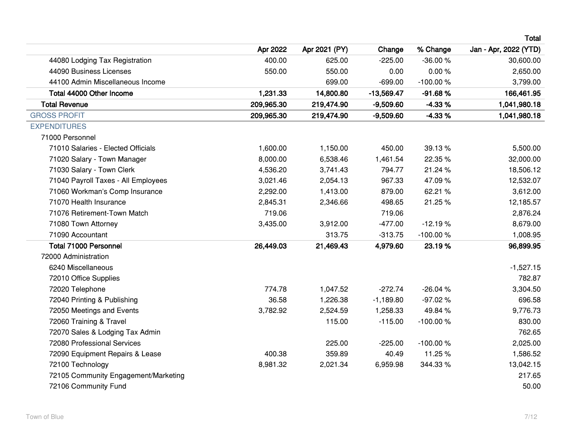|                                      |            |               |              |            | Total                 |
|--------------------------------------|------------|---------------|--------------|------------|-----------------------|
|                                      | Apr 2022   | Apr 2021 (PY) | Change       | % Change   | Jan - Apr, 2022 (YTD) |
| 44080 Lodging Tax Registration       | 400.00     | 625.00        | $-225.00$    | $-36.00%$  | 30,600.00             |
| 44090 Business Licenses              | 550.00     | 550.00        | 0.00         | 0.00%      | 2,650.00              |
| 44100 Admin Miscellaneous Income     |            | 699.00        | $-699.00$    | $-100.00%$ | 3,799.00              |
| Total 44000 Other Income             | 1,231.33   | 14,800.80     | $-13,569.47$ | $-91.68%$  | 166,461.95            |
| <b>Total Revenue</b>                 | 209,965.30 | 219,474.90    | $-9,509.60$  | $-4.33%$   | 1,041,980.18          |
| <b>GROSS PROFIT</b>                  | 209,965.30 | 219,474.90    | $-9,509.60$  | $-4.33%$   | 1,041,980.18          |
| <b>EXPENDITURES</b>                  |            |               |              |            |                       |
| 71000 Personnel                      |            |               |              |            |                       |
| 71010 Salaries - Elected Officials   | 1,600.00   | 1,150.00      | 450.00       | 39.13 %    | 5,500.00              |
| 71020 Salary - Town Manager          | 8,000.00   | 6,538.46      | 1,461.54     | 22.35 %    | 32,000.00             |
| 71030 Salary - Town Clerk            | 4,536.20   | 3,741.43      | 794.77       | 21.24 %    | 18,506.12             |
| 71040 Payroll Taxes - All Employees  | 3,021.46   | 2,054.13      | 967.33       | 47.09%     | 12,532.07             |
| 71060 Workman's Comp Insurance       | 2,292.00   | 1,413.00      | 879.00       | 62.21 %    | 3,612.00              |
| 71070 Health Insurance               | 2,845.31   | 2,346.66      | 498.65       | 21.25 %    | 12,185.57             |
| 71076 Retirement-Town Match          | 719.06     |               | 719.06       |            | 2,876.24              |
| 71080 Town Attorney                  | 3,435.00   | 3,912.00      | $-477.00$    | $-12.19%$  | 8,679.00              |
| 71090 Accountant                     |            | 313.75        | $-313.75$    | $-100.00%$ | 1,008.95              |
| <b>Total 71000 Personnel</b>         | 26,449.03  | 21,469.43     | 4,979.60     | 23.19%     | 96,899.95             |
| 72000 Administration                 |            |               |              |            |                       |
| 6240 Miscellaneous                   |            |               |              |            | $-1,527.15$           |
| 72010 Office Supplies                |            |               |              |            | 782.87                |
| 72020 Telephone                      | 774.78     | 1,047.52      | $-272.74$    | $-26.04%$  | 3,304.50              |
| 72040 Printing & Publishing          | 36.58      | 1,226.38      | $-1,189.80$  | $-97.02%$  | 696.58                |
| 72050 Meetings and Events            | 3,782.92   | 2,524.59      | 1,258.33     | 49.84 %    | 9,776.73              |
| 72060 Training & Travel              |            | 115.00        | $-115.00$    | $-100.00%$ | 830.00                |
| 72070 Sales & Lodging Tax Admin      |            |               |              |            | 762.65                |
| 72080 Professional Services          |            | 225.00        | $-225.00$    | $-100.00%$ | 2,025.00              |
| 72090 Equipment Repairs & Lease      | 400.38     | 359.89        | 40.49        | 11.25 %    | 1,586.52              |
| 72100 Technology                     | 8,981.32   | 2,021.34      | 6,959.98     | 344.33%    | 13,042.15             |
| 72105 Community Engagement/Marketing |            |               |              |            | 217.65                |
| 72106 Community Fund                 |            |               |              |            | 50.00                 |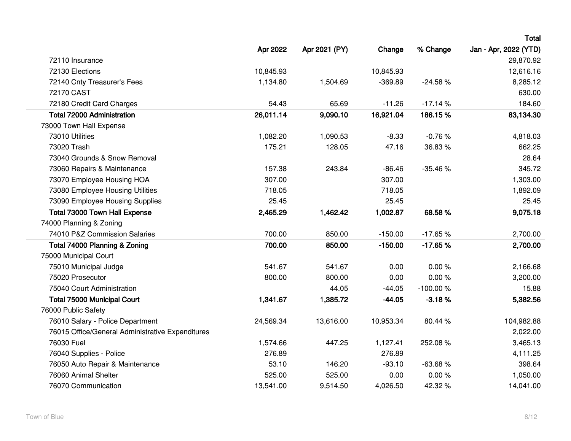|                                                  |           |               |           |            | Total                 |
|--------------------------------------------------|-----------|---------------|-----------|------------|-----------------------|
|                                                  | Apr 2022  | Apr 2021 (PY) | Change    | % Change   | Jan - Apr, 2022 (YTD) |
| 72110 Insurance                                  |           |               |           |            | 29,870.92             |
| 72130 Elections                                  | 10,845.93 |               | 10,845.93 |            | 12,616.16             |
| 72140 Cnty Treasurer's Fees                      | 1,134.80  | 1,504.69      | $-369.89$ | $-24.58%$  | 8,285.12              |
| 72170 CAST                                       |           |               |           |            | 630.00                |
| 72180 Credit Card Charges                        | 54.43     | 65.69         | $-11.26$  | $-17.14%$  | 184.60                |
| <b>Total 72000 Administration</b>                | 26,011.14 | 9,090.10      | 16,921.04 | 186.15%    | 83,134.30             |
| 73000 Town Hall Expense                          |           |               |           |            |                       |
| 73010 Utilities                                  | 1,082.20  | 1,090.53      | $-8.33$   | $-0.76%$   | 4,818.03              |
| 73020 Trash                                      | 175.21    | 128.05        | 47.16     | 36.83%     | 662.25                |
| 73040 Grounds & Snow Removal                     |           |               |           |            | 28.64                 |
| 73060 Repairs & Maintenance                      | 157.38    | 243.84        | $-86.46$  | $-35.46%$  | 345.72                |
| 73070 Employee Housing HOA                       | 307.00    |               | 307.00    |            | 1,303.00              |
| 73080 Employee Housing Utilities                 | 718.05    |               | 718.05    |            | 1,892.09              |
| 73090 Employee Housing Supplies                  | 25.45     |               | 25.45     |            | 25.45                 |
| Total 73000 Town Hall Expense                    | 2,465.29  | 1,462.42      | 1,002.87  | 68.58%     | 9,075.18              |
| 74000 Planning & Zoning                          |           |               |           |            |                       |
| 74010 P&Z Commission Salaries                    | 700.00    | 850.00        | $-150.00$ | $-17.65%$  | 2,700.00              |
| Total 74000 Planning & Zoning                    | 700.00    | 850.00        | $-150.00$ | $-17.65%$  | 2,700.00              |
| 75000 Municipal Court                            |           |               |           |            |                       |
| 75010 Municipal Judge                            | 541.67    | 541.67        | 0.00      | 0.00%      | 2,166.68              |
| 75020 Prosecutor                                 | 800.00    | 800.00        | 0.00      | 0.00%      | 3,200.00              |
| 75040 Court Administration                       |           | 44.05         | $-44.05$  | $-100.00%$ | 15.88                 |
| <b>Total 75000 Municipal Court</b>               | 1,341.67  | 1,385.72      | $-44.05$  | $-3.18%$   | 5,382.56              |
| 76000 Public Safety                              |           |               |           |            |                       |
| 76010 Salary - Police Department                 | 24,569.34 | 13,616.00     | 10,953.34 | 80.44 %    | 104,982.88            |
| 76015 Office/General Administrative Expenditures |           |               |           |            | 2,022.00              |
| 76030 Fuel                                       | 1,574.66  | 447.25        | 1,127.41  | 252.08%    | 3,465.13              |
| 76040 Supplies - Police                          | 276.89    |               | 276.89    |            | 4,111.25              |
| 76050 Auto Repair & Maintenance                  | 53.10     | 146.20        | $-93.10$  | $-63.68%$  | 398.64                |
| 76060 Animal Shelter                             | 525.00    | 525.00        | 0.00      | 0.00%      | 1,050.00              |
| 76070 Communication                              | 13,541.00 | 9,514.50      | 4,026.50  | 42.32 %    | 14,041.00             |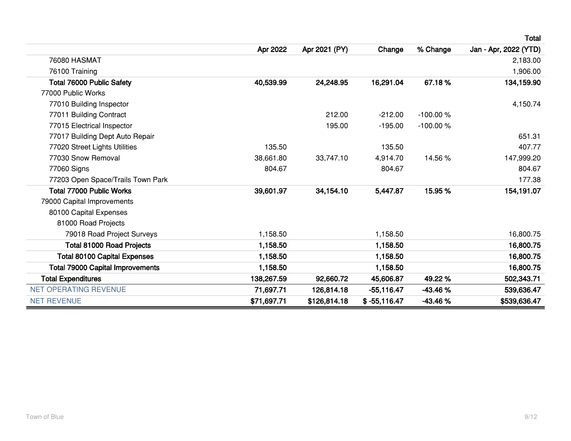|                                         |             |               |                |            | <b>Total</b>          |
|-----------------------------------------|-------------|---------------|----------------|------------|-----------------------|
|                                         | Apr 2022    | Apr 2021 (PY) | Change         | % Change   | Jan - Apr, 2022 (YTD) |
| <b>76080 HASMAT</b>                     |             |               |                |            | 2,183.00              |
| 76100 Training                          |             |               |                |            | 1,906.00              |
| <b>Total 76000 Public Safety</b>        | 40,539.99   | 24,248.95     | 16,291.04      | 67.18%     | 134,159.90            |
| 77000 Public Works                      |             |               |                |            |                       |
| 77010 Building Inspector                |             |               |                |            | 4,150.74              |
| 77011 Building Contract                 |             | 212.00        | $-212.00$      | $-100.00%$ |                       |
| 77015 Electrical Inspector              |             | 195.00        | $-195.00$      | $-100.00%$ |                       |
| 77017 Building Dept Auto Repair         |             |               |                |            | 651.31                |
| 77020 Street Lights Utilities           | 135.50      |               | 135.50         |            | 407.77                |
| 77030 Snow Removal                      | 38,661.80   | 33,747.10     | 4,914.70       | 14.56 %    | 147,999.20            |
| 77060 Signs                             | 804.67      |               | 804.67         |            | 804.67                |
| 77203 Open Space/Trails Town Park       |             |               |                |            | 177.38                |
| <b>Total 77000 Public Works</b>         | 39,601.97   | 34,154.10     | 5,447.87       | 15.95 %    | 154,191.07            |
| 79000 Capital Improvements              |             |               |                |            |                       |
| 80100 Capital Expenses                  |             |               |                |            |                       |
| 81000 Road Projects                     |             |               |                |            |                       |
| 79018 Road Project Surveys              | 1,158.50    |               | 1,158.50       |            | 16,800.75             |
| <b>Total 81000 Road Projects</b>        | 1,158.50    |               | 1,158.50       |            | 16,800.75             |
| <b>Total 80100 Capital Expenses</b>     | 1,158.50    |               | 1,158.50       |            | 16,800.75             |
| <b>Total 79000 Capital Improvements</b> | 1,158.50    |               | 1,158.50       |            | 16,800.75             |
| <b>Total Expenditures</b>               | 138,267.59  | 92,660.72     | 45,606.87      | 49.22%     | 502,343.71            |
| <b>NET OPERATING REVENUE</b>            | 71,697.71   | 126,814.18    | $-55,116.47$   | $-43.46%$  | 539,636.47            |
| <b>NET REVENUE</b>                      | \$71,697.71 | \$126,814.18  | $$ -55,116.47$ | $-43.46%$  | \$539,636.47          |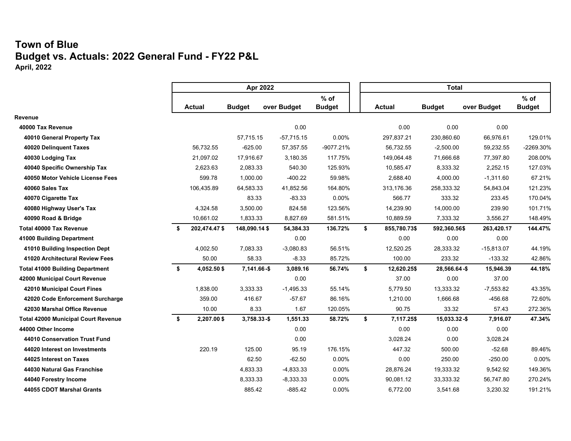### **Town of Blue Budget vs. Actuals: 2022 General Fund - FY22 P&L April, 2022**

|                                            | Apr 2022 |               |                |  |              |               | <b>Total</b>       |               |              |               |
|--------------------------------------------|----------|---------------|----------------|--|--------------|---------------|--------------------|---------------|--------------|---------------|
|                                            |          |               |                |  |              | $%$ of        |                    |               |              | $%$ of        |
|                                            |          | <b>Actual</b> | <b>Budget</b>  |  | over Budget  | <b>Budget</b> | <b>Actual</b>      | <b>Budget</b> | over Budget  | <b>Budget</b> |
| Revenue                                    |          |               |                |  |              |               |                    |               |              |               |
| 40000 Tax Revenue                          |          |               |                |  | 0.00         |               | 0.00               | 0.00          | 0.00         |               |
| 40010 General Property Tax                 |          |               | 57,715.15      |  | $-57,715.15$ | 0.00%         | 297,837.21         | 230,860.60    | 66,976.61    | 129.01%       |
| 40020 Delinquent Taxes                     |          | 56,732.55     | $-625.00$      |  | 57,357.55    | -9077.21%     | 56,732.55          | $-2,500.00$   | 59,232.55    | -2269.30%     |
| 40030 Lodging Tax                          |          | 21,097.02     | 17,916.67      |  | 3,180.35     | 117.75%       | 149,064.48         | 71,666.68     | 77,397.80    | 208.00%       |
| 40040 Specific Ownership Tax               |          | 2,623.63      | 2,083.33       |  | 540.30       | 125.93%       | 10,585.47          | 8,333.32      | 2,252.15     | 127.03%       |
| 40050 Motor Vehicle License Fees           |          | 599.78        | 1,000.00       |  | $-400.22$    | 59.98%        | 2,688.40           | 4,000.00      | $-1,311.60$  | 67.21%        |
| 40060 Sales Tax                            |          | 106,435.89    | 64,583.33      |  | 41,852.56    | 164.80%       | 313,176.36         | 258,333.32    | 54,843.04    | 121.23%       |
| 40070 Cigarette Tax                        |          |               | 83.33          |  | $-83.33$     | 0.00%         | 566.77             | 333.32        | 233.45       | 170.04%       |
| 40080 Highway User's Tax                   |          | 4,324.58      | 3,500.00       |  | 824.58       | 123.56%       | 14,239.90          | 14,000.00     | 239.90       | 101.71%       |
| 40090 Road & Bridge                        |          | 10,661.02     | 1,833.33       |  | 8,827.69     | 581.51%       | 10,889.59          | 7,333.32      | 3,556.27     | 148.49%       |
| <b>Total 40000 Tax Revenue</b>             | \$       | 202,474.47 \$ | 148,090.14 \$  |  | 54,384.33    | 136.72%       | \$<br>855,780.73\$ | 592,360.56\$  | 263,420.17   | 144.47%       |
| 41000 Building Department                  |          |               |                |  | 0.00         |               | 0.00               | 0.00          | 0.00         |               |
| 41010 Building Inspection Dept             |          | 4,002.50      | 7,083.33       |  | $-3,080.83$  | 56.51%        | 12,520.25          | 28,333.32     | $-15,813.07$ | 44.19%        |
| 41020 Architectural Review Fees            |          | 50.00         | 58.33          |  | $-8.33$      | 85.72%        | 100.00             | 233.32        | $-133.32$    | 42.86%        |
| <b>Total 41000 Building Department</b>     | \$       | 4,052.50\$    | $7,141.66 - $$ |  | 3,089.16     | 56.74%        | \$<br>12,620.25\$  | 28,566.64-\$  | 15,946.39    | 44.18%        |
| 42000 Municipal Court Revenue              |          |               |                |  | 0.00         |               | 37.00              | 0.00          | 37.00        |               |
| 42010 Municipal Court Fines                |          | 1,838.00      | 3,333.33       |  | $-1,495.33$  | 55.14%        | 5,779.50           | 13,333.32     | $-7,553.82$  | 43.35%        |
| 42020 Code Enforcement Surcharge           |          | 359.00        | 416.67         |  | $-57.67$     | 86.16%        | 1,210.00           | 1,666.68      | $-456.68$    | 72.60%        |
| 42030 Marshal Office Revenue               |          | 10.00         | 8.33           |  | 1.67         | 120.05%       | 90.75              | 33.32         | 57.43        | 272.36%       |
| <b>Total 42000 Municipal Court Revenue</b> | \$       | 2,207.00\$    | $3,758.33 - $$ |  | 1,551.33     | 58.72%        | \$<br>7,117.25\$   | 15,033.32-\$  | 7,916.07     | 47.34%        |
| 44000 Other Income                         |          |               |                |  | 0.00         |               | 0.00               | 0.00          | 0.00         |               |
| 44010 Conservation Trust Fund              |          |               |                |  | 0.00         |               | 3,028.24           | 0.00          | 3,028.24     |               |
| 44020 Interest on Investments              |          | 220.19        | 125.00         |  | 95.19        | 176.15%       | 447.32             | 500.00        | $-52.68$     | 89.46%        |
| 44025 Interest on Taxes                    |          |               | 62.50          |  | $-62.50$     | 0.00%         | 0.00               | 250.00        | $-250.00$    | 0.00%         |
| 44030 Natural Gas Franchise                |          |               | 4,833.33       |  | $-4,833.33$  | 0.00%         | 28,876.24          | 19,333.32     | 9,542.92     | 149.36%       |
| 44040 Forestry Income                      |          |               | 8,333.33       |  | $-8,333.33$  | 0.00%         | 90,081.12          | 33,333.32     | 56,747.80    | 270.24%       |
| 44055 CDOT Marshal Grants                  |          |               | 885.42         |  | $-885.42$    | 0.00%         | 6,772.00           | 3,541.68      | 3,230.32     | 191.21%       |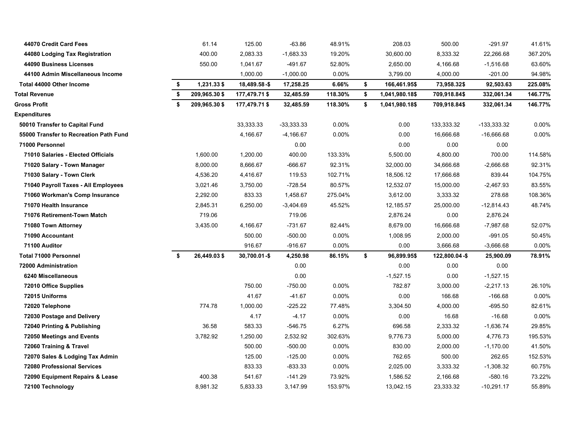| 44070 Credit Card Fees                 | 61.14               | 125.00          | $-63.86$     | 48.91%   | 208.03               | 500.00         | $-291.97$    | 41.61%  |
|----------------------------------------|---------------------|-----------------|--------------|----------|----------------------|----------------|--------------|---------|
| 44080 Lodging Tax Registration         | 400.00              | 2,083.33        | $-1,683.33$  | 19.20%   | 30,600.00            | 8,333.32       | 22,266.68    | 367.20% |
| 44090 Business Licenses                | 550.00              | 1,041.67        | -491.67      | 52.80%   | 2,650.00             | 4,166.68       | -1,516.68    | 63.60%  |
| 44100 Admin Miscellaneous Income       |                     | 1,000.00        | $-1,000.00$  | 0.00%    | 3,799.00             | 4,000.00       | $-201.00$    | 94.98%  |
| Total 44000 Other Income               | \$<br>1,231.33 \$   | 18,489.58-\$    | 17,258.25    | 6.66%    | \$<br>166,461.95\$   | 73,958.32\$    | 92,503.63    | 225.08% |
| <b>Total Revenue</b>                   | \$<br>209,965.30 \$ | 177,479.71 \$   | 32,485.59    | 118.30%  | \$<br>1,041,980.18\$ | 709,918.84\$   | 332,061.34   | 146.77% |
| <b>Gross Profit</b>                    | \$<br>209,965.30 \$ | 177,479.71 \$   | 32,485.59    | 118.30%  | \$<br>1,041,980.18\$ | 709,918.84\$   | 332,061.34   | 146.77% |
| Expenditures                           |                     |                 |              |          |                      |                |              |         |
| 50010 Transfer to Capital Fund         |                     | 33,333.33       | $-33,333.33$ | 0.00%    | 0.00                 | 133,333.32     | -133,333.32  | 0.00%   |
| 55000 Transfer to Recreation Path Fund |                     | 4,166.67        | $-4,166.67$  | 0.00%    | 0.00                 | 16,666.68      | $-16,666.68$ | 0.00%   |
| 71000 Personnel                        |                     |                 | 0.00         |          | 0.00                 | 0.00           | 0.00         |         |
| 71010 Salaries - Elected Officials     | 1,600.00            | 1,200.00        | 400.00       | 133.33%  | 5,500.00             | 4,800.00       | 700.00       | 114.58% |
| 71020 Salary - Town Manager            | 8,000.00            | 8,666.67        | $-666.67$    | 92.31%   | 32,000.00            | 34,666.68      | $-2,666.68$  | 92.31%  |
| 71030 Salary - Town Clerk              | 4,536.20            | 4,416.67        | 119.53       | 102.71%  | 18,506.12            | 17,666.68      | 839.44       | 104.75% |
| 71040 Payroll Taxes - All Employees    | 3,021.46            | 3,750.00        | -728.54      | 80.57%   | 12,532.07            | 15,000.00      | $-2,467.93$  | 83.55%  |
| 71060 Workman's Comp Insurance         | 2,292.00            | 833.33          | 1,458.67     | 275.04%  | 3,612.00             | 3,333.32       | 278.68       | 108.36% |
| 71070 Health Insurance                 | 2,845.31            | 6,250.00        | $-3,404.69$  | 45.52%   | 12,185.57            | 25,000.00      | $-12,814.43$ | 48.74%  |
| 71076 Retirement-Town Match            | 719.06              |                 | 719.06       |          | 2,876.24             | 0.00           | 2,876.24     |         |
| 71080 Town Attorney                    | 3,435.00            | 4,166.67        | -731.67      | 82.44%   | 8,679.00             | 16,666.68      | -7,987.68    | 52.07%  |
| 71090 Accountant                       |                     | 500.00          | -500.00      | 0.00%    | 1,008.95             | 2,000.00       | $-991.05$    | 50.45%  |
| 71100 Auditor                          |                     | 916.67          | $-916.67$    | 0.00%    | 0.00                 | 3,666.68       | $-3,666.68$  | 0.00%   |
| <b>Total 71000 Personnel</b>           | \$<br>26,449.03\$   | $30,700.01 - $$ | 4,250.98     | 86.15%   | \$<br>96,899.95\$    | 122,800.04 -\$ | 25,900.09    | 78.91%  |
| 72000 Administration                   |                     |                 | 0.00         |          | 0.00                 | 0.00           | 0.00         |         |
| 6240 Miscellaneous                     |                     |                 | 0.00         |          | $-1,527.15$          | 0.00           | $-1,527.15$  |         |
| 72010 Office Supplies                  |                     | 750.00          | $-750.00$    | 0.00%    | 782.87               | 3,000.00       | $-2,217.13$  | 26.10%  |
| 72015 Uniforms                         |                     | 41.67           | $-41.67$     | 0.00%    | 0.00                 | 166.68         | $-166.68$    | 0.00%   |
| 72020 Telephone                        | 774.78              | 1,000.00        | $-225.22$    | 77.48%   | 3,304.50             | 4,000.00       | $-695.50$    | 82.61%  |
| 72030 Postage and Delivery             |                     | 4.17            | -4.17        | $0.00\%$ | 0.00                 | 16.68          | $-16.68$     | 0.00%   |
| 72040 Printing & Publishing            | 36.58               | 583.33          | $-546.75$    | 6.27%    | 696.58               | 2,333.32       | -1,636.74    | 29.85%  |
| 72050 Meetings and Events              | 3,782.92            | 1,250.00        | 2,532.92     | 302.63%  | 9,776.73             | 5,000.00       | 4,776.73     | 195.53% |
| 72060 Training & Travel                |                     | 500.00          | $-500.00$    | 0.00%    | 830.00               | 2,000.00       | $-1,170.00$  | 41.50%  |
| 72070 Sales & Lodging Tax Admin        |                     | 125.00          | $-125.00$    | 0.00%    | 762.65               | 500.00         | 262.65       | 152.53% |
| <b>72080 Professional Services</b>     |                     | 833.33          | $-833.33$    | 0.00%    | 2,025.00             | 3,333.32       | $-1,308.32$  | 60.75%  |
| 72090 Equipment Repairs & Lease        | 400.38              | 541.67          | $-141.29$    | 73.92%   | 1,586.52             | 2,166.68       | $-580.16$    | 73.22%  |
| 72100 Technology                       | 8,981.32            | 5,833.33        | 3,147.99     | 153.97%  | 13,042.15            | 23,333.32      | $-10,291.17$ | 55.89%  |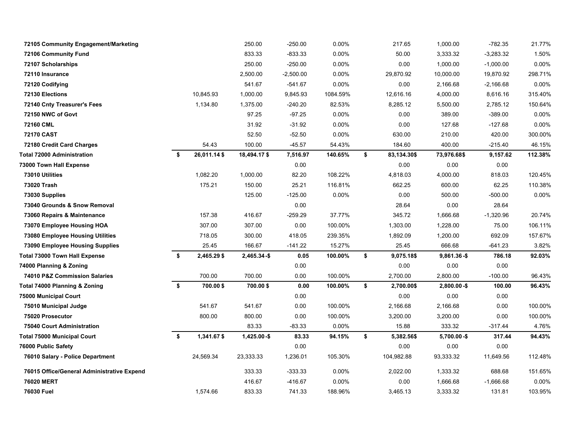| 72105 Community Engagement/Marketing       |      |             | 250.00         | $-250.00$   | 0.00%    | 217.65            | 1,000.00       | $-782.35$   | 21.77%   |
|--------------------------------------------|------|-------------|----------------|-------------|----------|-------------------|----------------|-------------|----------|
| <b>72106 Community Fund</b>                |      |             | 833.33         | $-833.33$   | 0.00%    | 50.00             | 3,333.32       | $-3,283.32$ | 1.50%    |
| 72107 Scholarships                         |      |             | 250.00         | $-250.00$   | $0.00\%$ | 0.00              | 1,000.00       | $-1,000.00$ | $0.00\%$ |
| 72110 Insurance                            |      |             | 2,500.00       | $-2,500.00$ | $0.00\%$ | 29,870.92         | 10,000.00      | 19,870.92   | 298.71%  |
| 72120 Codifying                            |      |             | 541.67         | $-541.67$   | $0.00\%$ | 0.00              | 2,166.68       | $-2,166.68$ | 0.00%    |
| 72130 Elections                            |      | 10,845.93   | 1,000.00       | 9,845.93    | 1084.59% | 12,616.16         | 4,000.00       | 8,616.16    | 315.40%  |
| 72140 Cnty Treasurer's Fees                |      | 1,134.80    | 1,375.00       | $-240.20$   | 82.53%   | 8,285.12          | 5,500.00       | 2,785.12    | 150.64%  |
| 72150 NWC of Govt                          |      |             | 97.25          | $-97.25$    | 0.00%    | 0.00              | 389.00         | $-389.00$   | 0.00%    |
| 72160 CML                                  |      |             | 31.92          | $-31.92$    | 0.00%    | 0.00              | 127.68         | $-127.68$   | 0.00%    |
| <b>72170 CAST</b>                          |      |             | 52.50          | $-52.50$    | 0.00%    | 630.00            | 210.00         | 420.00      | 300.00%  |
| 72180 Credit Card Charges                  |      | 54.43       | 100.00         | $-45.57$    | 54.43%   | 184.60            | 400.00         | $-215.40$   | 46.15%   |
| <b>Total 72000 Administration</b>          | - \$ | 26,011.14\$ | 18,494.17\$    | 7,516.97    | 140.65%  | \$<br>83,134.30\$ | 73,976.68\$    | 9,157.62    | 112.38%  |
| 73000 Town Hall Expense                    |      |             |                | 0.00        |          | 0.00              | 0.00           | 0.00        |          |
| 73010 Utilities                            |      | 1,082.20    | 1,000.00       | 82.20       | 108.22%  | 4,818.03          | 4,000.00       | 818.03      | 120.45%  |
| 73020 Trash                                |      | 175.21      | 150.00         | 25.21       | 116.81%  | 662.25            | 600.00         | 62.25       | 110.38%  |
| 73030 Supplies                             |      |             | 125.00         | $-125.00$   | 0.00%    | 0.00              | 500.00         | $-500.00$   | 0.00%    |
| 73040 Grounds & Snow Removal               |      |             |                | 0.00        |          | 28.64             | 0.00           | 28.64       |          |
| 73060 Repairs & Maintenance                |      | 157.38      | 416.67         | $-259.29$   | 37.77%   | 345.72            | 1,666.68       | $-1,320.96$ | 20.74%   |
| 73070 Employee Housing HOA                 |      | 307.00      | 307.00         | 0.00        | 100.00%  | 1,303.00          | 1,228.00       | 75.00       | 106.11%  |
| 73080 Employee Housing Utilities           |      | 718.05      | 300.00         | 418.05      | 239.35%  | 1,892.09          | 1,200.00       | 692.09      | 157.67%  |
| <b>73090 Employee Housing Supplies</b>     |      | 25.45       | 166.67         | -141.22     | 15.27%   | 25.45             | 666.68         | -641.23     | 3.82%    |
| <b>Total 73000 Town Hall Expense</b>       | \$   | 2,465.29 \$ | $2,465.34 - $$ | 0.05        | 100.00%  | \$<br>9,075.18\$  | $9,861.36 - $$ | 786.18      | 92.03%   |
| 74000 Planning & Zoning                    |      |             |                | 0.00        |          | 0.00              | 0.00           | 0.00        |          |
| 74010 P&Z Commission Salaries              |      | 700.00      | 700.00         | 0.00        | 100.00%  | 2,700.00          | 2,800.00       | $-100.00$   | 96.43%   |
| Total 74000 Planning & Zoning              | \$   | 700.00\$    | 700.00\$       | 0.00        | 100.00%  | \$<br>2,700.00\$  | $2,800.00 - $$ | 100.00      | 96.43%   |
| 75000 Municipal Court                      |      |             |                | 0.00        |          | 0.00              | 0.00           | 0.00        |          |
| 75010 Municipal Judge                      |      | 541.67      | 541.67         | 0.00        | 100.00%  | 2,166.68          | 2,166.68       | 0.00        | 100.00%  |
| 75020 Prosecutor                           |      | 800.00      | 800.00         | 0.00        | 100.00%  | 3,200.00          | 3,200.00       | 0.00        | 100.00%  |
| 75040 Court Administration                 |      |             | 83.33          | $-83.33$    | 0.00%    | 15.88             | 333.32         | $-317.44$   | 4.76%    |
| <b>Total 75000 Municipal Court</b>         | \$   | 1,341.67\$  | $1,425.00 - $$ | 83.33       | 94.15%   | \$<br>5,382.56\$  | $5,700.00 - $$ | 317.44      | 94.43%   |
| 76000 Public Safety                        |      |             |                | 0.00        |          | 0.00              | 0.00           | 0.00        |          |
| 76010 Salary - Police Department           |      | 24,569.34   | 23,333.33      | 1,236.01    | 105.30%  | 104,982.88        | 93,333.32      | 11,649.56   | 112.48%  |
| 76015 Office/General Administrative Expend |      |             | 333.33         | $-333.33$   | 0.00%    | 2,022.00          | 1,333.32       | 688.68      | 151.65%  |
| 76020 MERT                                 |      |             | 416.67         | $-416.67$   | 0.00%    | 0.00              | 1,666.68       | $-1,666.68$ | $0.00\%$ |
| 76030 Fuel                                 |      | 1,574.66    | 833.33         | 741.33      | 188.96%  | 3,465.13          | 3,333.32       | 131.81      | 103.95%  |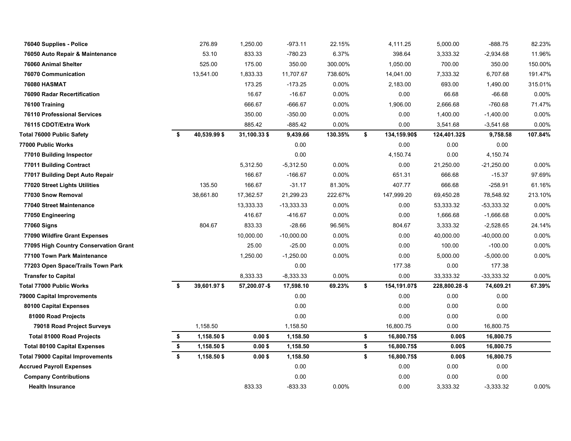| 76040 Supplies - Police                 | 276.89             | 1,250.00     | $-973.11$    | 22.15%  | 4,111.25           | 5,000.00      | $-888.75$    | 82.23%  |
|-----------------------------------------|--------------------|--------------|--------------|---------|--------------------|---------------|--------------|---------|
| 76050 Auto Repair & Maintenance         | 53.10              | 833.33       | $-780.23$    | 6.37%   | 398.64             | 3,333.32      | $-2,934.68$  | 11.96%  |
| 76060 Animal Shelter                    | 525.00             | 175.00       | 350.00       | 300.00% | 1,050.00           | 700.00        | 350.00       | 150.00% |
| 76070 Communication                     | 13,541.00          | 1,833.33     | 11,707.67    | 738.60% | 14,041.00          | 7,333.32      | 6,707.68     | 191.47% |
| <b>76080 HASMAT</b>                     |                    | 173.25       | $-173.25$    | 0.00%   | 2,183.00           | 693.00        | 1,490.00     | 315.01% |
| 76090 Radar Recertification             |                    | 16.67        | $-16.67$     | 0.00%   | 0.00               | 66.68         | $-66.68$     | 0.00%   |
| 76100 Training                          |                    | 666.67       | $-666.67$    | 0.00%   | 1,906.00           | 2,666.68      | $-760.68$    | 71.47%  |
| <b>76110 Professional Services</b>      |                    | 350.00       | $-350.00$    | 0.00%   | 0.00               | 1,400.00      | $-1,400.00$  | 0.00%   |
| 76115 CDOT/Extra Work                   |                    | 885.42       | $-885.42$    | 0.00%   | 0.00               | 3,541.68      | $-3,541.68$  | 0.00%   |
| <b>Total 76000 Public Safety</b>        | \$<br>40,539.99 \$ | 31,100.33\$  | 9,439.66     | 130.35% | \$<br>134,159.90\$ | 124,401.32\$  | 9,758.58     | 107.84% |
| 77000 Public Works                      |                    |              | 0.00         |         | 0.00               | 0.00          | 0.00         |         |
| 77010 Building Inspector                |                    |              | 0.00         |         | 4,150.74           | 0.00          | 4,150.74     |         |
| 77011 Building Contract                 |                    | 5,312.50     | $-5,312.50$  | 0.00%   | 0.00               | 21,250.00     | $-21,250.00$ | 0.00%   |
| 77017 Building Dept Auto Repair         |                    | 166.67       | $-166.67$    | 0.00%   | 651.31             | 666.68        | $-15.37$     | 97.69%  |
| 77020 Street Lights Utilities           | 135.50             | 166.67       | $-31.17$     | 81.30%  | 407.77             | 666.68        | $-258.91$    | 61.16%  |
| 77030 Snow Removal                      | 38,661.80          | 17,362.57    | 21,299.23    | 222.67% | 147,999.20         | 69,450.28     | 78,548.92    | 213.10% |
| 77040 Street Maintenance                |                    | 13,333.33    | $-13,333.33$ | 0.00%   | 0.00               | 53,333.32     | $-53,333.32$ | 0.00%   |
| 77050 Engineering                       |                    | 416.67       | -416.67      | 0.00%   | 0.00               | 1,666.68      | $-1,666.68$  | 0.00%   |
| 77060 Signs                             | 804.67             | 833.33       | $-28.66$     | 96.56%  | 804.67             | 3,333.32      | $-2,528.65$  | 24.14%  |
| 77090 Wildfire Grant Expenses           |                    | 10,000.00    | $-10,000.00$ | 0.00%   | 0.00               | 40,000.00     | $-40,000.00$ | 0.00%   |
| 77095 High Country Conservation Grant   |                    | 25.00        | $-25.00$     | 0.00%   | 0.00               | 100.00        | $-100.00$    | 0.00%   |
| 77100 Town Park Maintenance             |                    | 1,250.00     | $-1,250.00$  | 0.00%   | 0.00               | 5,000.00      | $-5,000.00$  | 0.00%   |
| 77203 Open Space/Trails Town Park       |                    |              | 0.00         |         | 177.38             | 0.00          | 177.38       |         |
| <b>Transfer to Capital</b>              |                    | 8,333.33     | $-8,333.33$  | 0.00%   | 0.00               | 33,333.32     | $-33,333.32$ | 0.00%   |
| <b>Total 77000 Public Works</b>         | \$<br>39,601.97\$  | 57,200.07-\$ | 17,598.10    | 69.23%  | \$<br>154,191.07\$ | 228,800.28-\$ | 74,609.21    | 67.39%  |
| 79000 Capital Improvements              |                    |              | 0.00         |         | 0.00               | 0.00          | 0.00         |         |
| 80100 Capital Expenses                  |                    |              | 0.00         |         | 0.00               | 0.00          | 0.00         |         |
| 81000 Road Projects                     |                    |              | 0.00         |         | 0.00               | 0.00          | 0.00         |         |
| 79018 Road Project Surveys              | 1,158.50           |              | 1,158.50     |         | 16,800.75          | 0.00          | 16,800.75    |         |
| <b>Total 81000 Road Projects</b>        | \$<br>1,158.50\$   | $0.00$ \$    | 1,158.50     |         | \$<br>16,800.75\$  | 0.00\$        | 16,800.75    |         |
| <b>Total 80100 Capital Expenses</b>     | \$<br>1,158.50\$   | $0.00$ \$    | 1,158.50     |         | \$<br>16,800.75\$  | 0.00\$        | 16,800.75    |         |
| <b>Total 79000 Capital Improvements</b> | \$<br>1,158.50 \$  | $0.00$ \$    | 1,158.50     |         | \$<br>16,800.75\$  | 0.00\$        | 16,800.75    |         |
| <b>Accrued Payroll Expenses</b>         |                    |              | 0.00         |         | 0.00               | 0.00          | 0.00         |         |
| <b>Company Contributions</b>            |                    |              | 0.00         |         | 0.00               | 0.00          | 0.00         |         |
| <b>Health Insurance</b>                 |                    | 833.33       | $-833.33$    | 0.00%   | 0.00               | 3,333.32      | $-3,333.32$  | 0.00%   |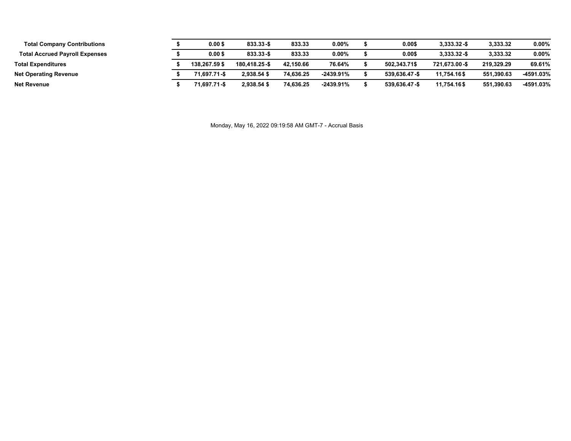| <b>Total Company Contributions</b>    | $0.00$ \$     | 833.33-\$     | 833.33    | $0.00\%$    | 0.00\$        | $3.333.32 - $$ | 3,333.32   | $0.00\%$  |
|---------------------------------------|---------------|---------------|-----------|-------------|---------------|----------------|------------|-----------|
| <b>Total Accrued Payroll Expenses</b> | $0.00$ \$     | 833.33-\$     | 833.33    | $0.00\%$    | 0.00\$        | $3.333.32 - $$ | 3.333.32   | $0.00\%$  |
| <b>Total Expenditures</b>             | 138.267.59 \$ | 180.418.25-\$ | 42.150.66 | 76.64%      | 502.343.71\$  | 721.673.00-\$  | 219.329.29 | 69.61%    |
| <b>Net Operating Revenue</b>          | 71.697.71-\$  | 2.938.54 \$   | 74.636.25 | $-2439.91%$ | 539.636.47-\$ | 11.754.16\$    | 551.390.63 | -4591.03% |
| <b>Net Revenue</b>                    | 71.697.71-\$  | 2.938.54 \$   | 74.636.25 | $-2439.91%$ | 539.636.47-\$ | 11.754.16\$    | 551,390.63 | -4591.03% |

Monday, May 16, 2022 09:19:58 AM GMT-7 - Accrual Basis